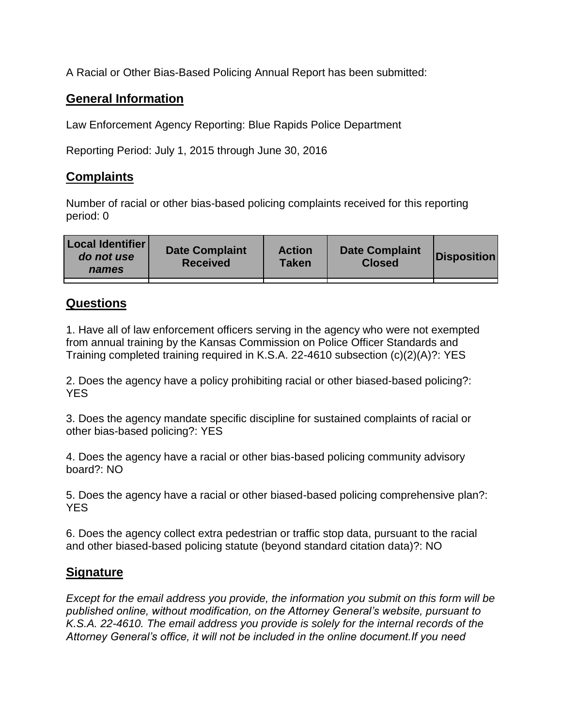A Racial or Other Bias-Based Policing Annual Report has been submitted:

## **General Information**

Law Enforcement Agency Reporting: Blue Rapids Police Department

Reporting Period: July 1, 2015 through June 30, 2016

## **Complaints**

Number of racial or other bias-based policing complaints received for this reporting period: 0

| <b>Local Identifier</b><br>do not use<br>names | <b>Date Complaint</b><br><b>Received</b> | <b>Action</b><br><b>Taken</b> | <b>Date Complaint</b><br><b>Closed</b> | Disposition |
|------------------------------------------------|------------------------------------------|-------------------------------|----------------------------------------|-------------|
|                                                |                                          |                               |                                        |             |

## **Questions**

1. Have all of law enforcement officers serving in the agency who were not exempted from annual training by the Kansas Commission on Police Officer Standards and Training completed training required in K.S.A. 22-4610 subsection (c)(2)(A)?: YES

2. Does the agency have a policy prohibiting racial or other biased-based policing?: YES

3. Does the agency mandate specific discipline for sustained complaints of racial or other bias-based policing?: YES

4. Does the agency have a racial or other bias-based policing community advisory board?: NO

5. Does the agency have a racial or other biased-based policing comprehensive plan?: YES

6. Does the agency collect extra pedestrian or traffic stop data, pursuant to the racial and other biased-based policing statute (beyond standard citation data)?: NO

## **Signature**

*Except for the email address you provide, the information you submit on this form will be published online, without modification, on the Attorney General's website, pursuant to K.S.A. 22-4610. The email address you provide is solely for the internal records of the Attorney General's office, it will not be included in the online document.If you need*